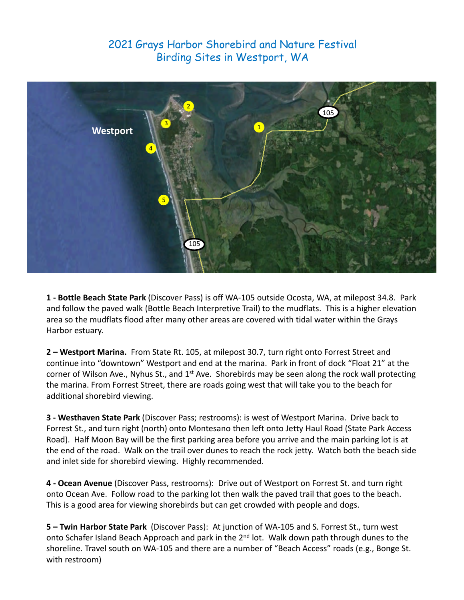## 2021 Grays Harbor Shorebird and Nature Festival Birding Sites in Westport, WA



**Grayland** and follow the paved walk (Bottle Beach Interpretive Trail) to the mudflats. This is a higher elevation **1 ‐ Bottle Beach State Park** (Discover Pass) is off WA‐105 outside Ocosta, WA, at milepost 34.8. Park area so the mudflats flood after many other areas are covered with tidal water within the Grays Harbor estuary.

**2 – Westport Marina.** From State Rt. 105, at milepost 30.7, turn right onto Forrest Street and continue into "downtown" Westport and end at the marina. Park in front of dock "Float 21" at the corner of Wilson Ave., Nyhus St., and 1<sup>st</sup> Ave. Shorebirds may be seen along the rock wall protecting the marina. From Forrest Street, there are roads going west that will take you to the beach for additional shorebird viewing.

**3 ‐ Westhaven State Park** (Discover Pass; restrooms): is west of Westport Marina. Drive back to Forrest St., and turn right (north) onto Montesano then left onto Jetty Haul Road (State Park Access Road). Half Moon Bay will be the first parking area before you arrive and the main parking lot is at the end of the road. Walk on the trail over dunes to reach the rock jetty. Watch both the beach side and inlet side for shorebird viewing. Highly recommended.

**4 ‐ Ocean Avenue** (Discover Pass, restrooms): Drive out of Westport on Forrest St. and turn right onto Ocean Ave. Follow road to the parking lot then walk the paved trail that goes to the beach. This is a good area for viewing shorebirds but can get crowded with people and dogs.

5 – Twin Harbor State Park (Discover Pass): At junction of WA-105 and S. Forrest St., turn west onto Schafer Island Beach Approach and park in the 2<sup>nd</sup> lot. Walk down path through dunes to the shoreline. Travel south on WA-105 and there are a number of "Beach Access" roads (e.g., Bonge St. with restroom)